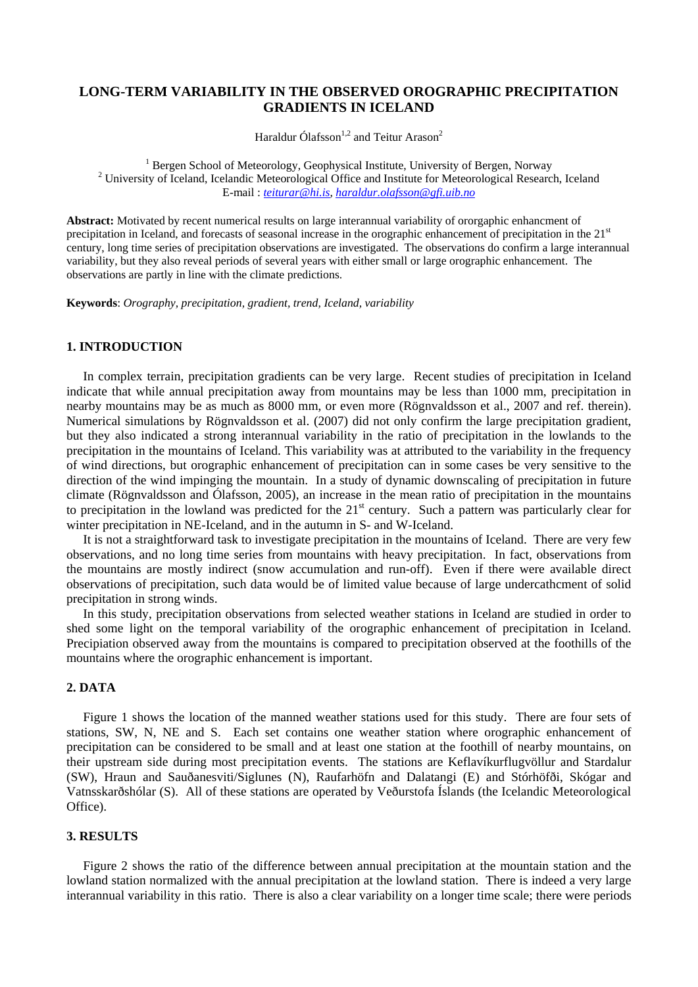# **LONG-TERM VARIABILITY IN THE OBSERVED OROGRAPHIC PRECIPITATION GRADIENTS IN ICELAND**

Haraldur Ólafsson $1,2}$  and Teitur Arason $2$ 

 $\frac{1}{1}$  Bergen School of Meteorology, Geophysics  $\frac{1}{2}$  Bergen School of Meteorology, Geophysical Institute, University of Bergen, Norway  $\frac{2}{2}$  University of Iceland Jeclepsie Meteorological Office and Institute for Meteorological Because <sup>2</sup> University of Iceland, Icelandic Meteorological Office and Institute for Meteorological Research, Iceland E-mail : *teiturar@hi.is, haraldur.olafsson@gfi.uib.no*

**Abstract:** Motivated by recent numerical results on large interannual variability of ororgaphic enhancment of precipitation in Iceland, and forecasts of seasonal increase in the orographic enhancement of precipitation in the  $21<sup>st</sup>$ century, long time series of precipitation observations are investigated. The observations do confirm a large interannual variability, but they also reveal periods of several years with either small or large orographic enhancement. The observations are partly in line with the climate predictions.

**Keywords**: *Orography, precipitation, gradient, trend, Iceland, variability* 

### **1. INTRODUCTION**

In complex terrain, precipitation gradients can be very large. Recent studies of precipitation in Iceland indicate that while annual precipitation away from mountains may be less than 1000 mm, precipitation in nearby mountains may be as much as 8000 mm, or even more (Rögnvaldsson et al., 2007 and ref. therein). Numerical simulations by Rögnvaldsson et al. (2007) did not only confirm the large precipitation gradient, but they also indicated a strong interannual variability in the ratio of precipitation in the lowlands to the precipitation in the mountains of Iceland. This variability was at attributed to the variability in the frequency of wind directions, but orographic enhancement of precipitation can in some cases be very sensitive to the direction of the wind impinging the mountain. In a study of dynamic downscaling of precipitation in future climate (Rögnvaldsson and Ólafsson, 2005), an increase in the mean ratio of precipitation in the mountains to precipitation in the lowland was predicted for the 21<sup>st</sup> century. Such a pattern was particularly clear for winter precipitation in NE-Iceland, and in the autumn in S- and W-Iceland.

It is not a straightforward task to investigate precipitation in the mountains of Iceland. There are very few observations, and no long time series from mountains with heavy precipitation. In fact, observations from the mountains are mostly indirect (snow accumulation and run-off). Even if there were available direct observations of precipitation, such data would be of limited value because of large undercathcment of solid precipitation in strong winds.

In this study, precipitation observations from selected weather stations in Iceland are studied in order to shed some light on the temporal variability of the orographic enhancement of precipitation in Iceland. Precipiation observed away from the mountains is compared to precipitation observed at the foothills of the mountains where the orographic enhancement is important.

## **2. DATA**

Figure 1 shows the location of the manned weather stations used for this study. There are four sets of stations, SW, N, NE and S. Each set contains one weather station where orographic enhancement of precipitation can be considered to be small and at least one station at the foothill of nearby mountains, on their upstream side during most precipitation events. The stations are Keflavíkurflugvöllur and Stardalur (SW), Hraun and Sauðanesviti/Siglunes (N), Raufarhöfn and Dalatangi (E) and Stórhöfði, Skógar and Vatnsskarðshólar (S). All of these stations are operated by Veðurstofa Íslands (the Icelandic Meteorological Office).

#### **3. RESULTS**

Figure 2 shows the ratio of the difference between annual precipitation at the mountain station and the lowland station normalized with the annual precipitation at the lowland station. There is indeed a very large interannual variability in this ratio. There is also a clear variability on a longer time scale; there were periods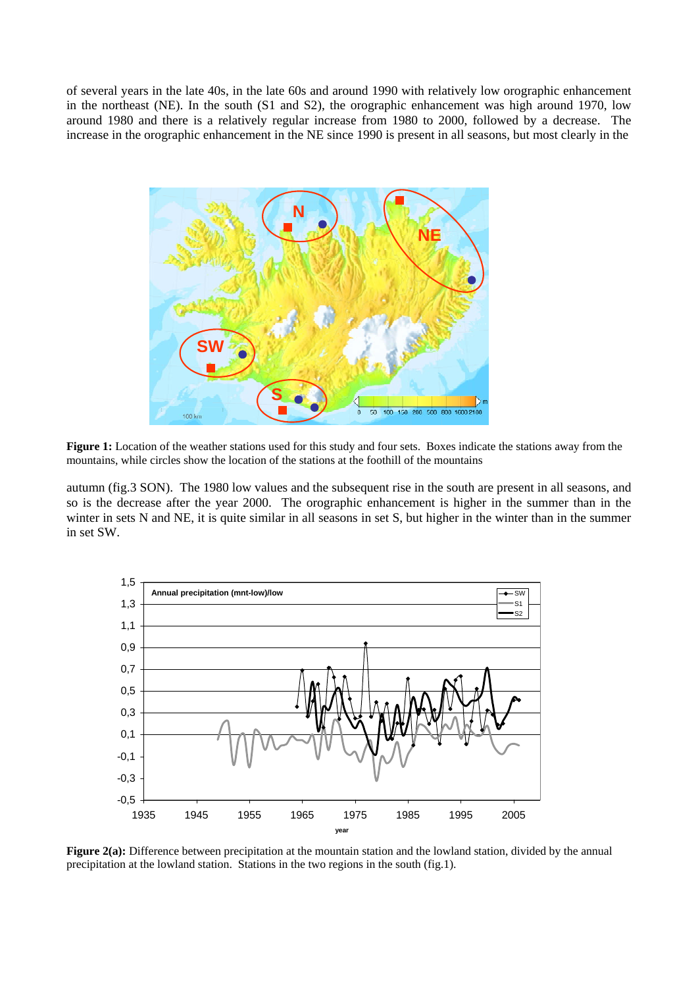of several years in the late 40s, in the late 60s and around 1990 with relatively low orographic enhancement in the northeast (NE). In the south (S1 and S2), the orographic enhancement was high around 1970, low around 1980 and there is a relatively regular increase from 1980 to 2000, followed by a decrease. The increase in the orographic enhancement in the NE since 1990 is present in all seasons, but most clearly in the



**Figure 1:** Location of the weather stations used for this study and four sets. Boxes indicate the stations away from the mountains, while circles show the location of the stations at the foothill of the mountains

autumn (fig.3 SON). The 1980 low values and the subsequent rise in the south are present in all seasons, and so is the decrease after the year 2000. The orographic enhancement is higher in the summer than in the winter in sets N and NE, it is quite similar in all seasons in set S, but higher in the winter than in the summer in set SW.



**Figure 2(a):** Difference between precipitation at the mountain station and the lowland station, divided by the annual precipitation at the lowland station. Stations in the two regions in the south (fig.1).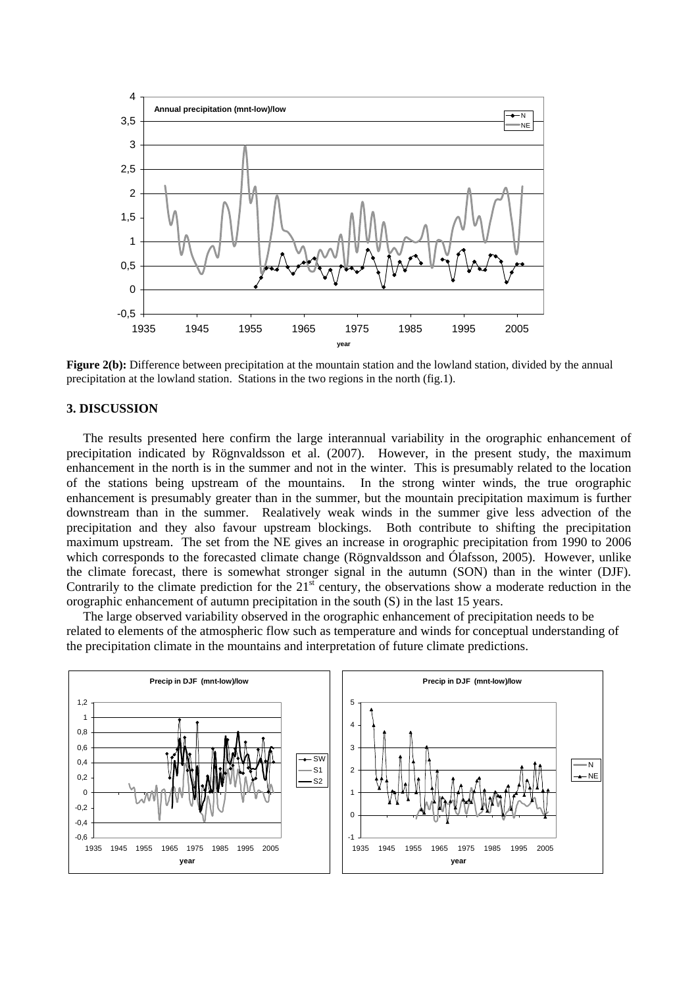

**Figure 2(b):** Difference between precipitation at the mountain station and the lowland station, divided by the annual precipitation at the lowland station. Stations in the two regions in the north (fig.1).

### **3. DISCUSSION**

The results presented here confirm the large interannual variability in the orographic enhancement of precipitation indicated by Rögnvaldsson et al. (2007). However, in the present study, the maximum enhancement in the north is in the summer and not in the winter. This is presumably related to the location of the stations being upstream of the mountains. In the strong winter winds, the true orographic enhancement is presumably greater than in the summer, but the mountain precipitation maximum is further downstream than in the summer. Realatively weak winds in the summer give less advection of the precipitation and they also favour upstream blockings. Both contribute to shifting the precipitation maximum upstream. The set from the NE gives an increase in orographic precipitation from 1990 to 2006 which corresponds to the forecasted climate change (Rögnvaldsson and Ólafsson, 2005). However, unlike the climate forecast, there is somewhat stronger signal in the autumn (SON) than in the winter (DJF). Contrarily to the climate prediction for the  $21<sup>st</sup>$  century, the observations show a moderate reduction in the orographic enhancement of autumn precipitation in the south (S) in the last 15 years.

The large observed variability observed in the orographic enhancement of precipitation needs to be related to elements of the atmospheric flow such as temperature and winds for conceptual understanding of the precipitation climate in the mountains and interpretation of future climate predictions.